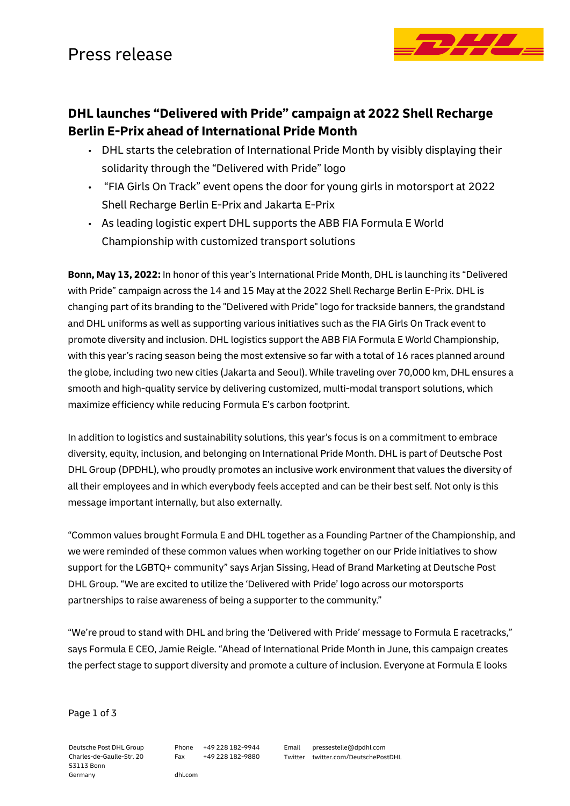

## **DHL launches "Delivered with Pride" campaign at 2022 Shell Recharge Berlin E-Prix ahead of International Pride Month**

- DHL starts the celebration of International Pride Month by visibly displaying their solidarity through the "Delivered with Pride" logo
- "FIA Girls On Track" event opens the door for young girls in motorsport at 2022 Shell Recharge Berlin E-Prix and Jakarta E-Prix
- As leading logistic expert DHL supports the ABB FIA Formula E World Championship with customized transport solutions

**Bonn, May 13, 2022:** In honor of this year's International Pride Month, DHL is launching its "Delivered with Pride" campaign across the 14 and 15 May at the 2022 Shell Recharge Berlin E-Prix. DHL is changing part of its branding to the "Delivered with Pride" logo for trackside banners, the grandstand and DHL uniforms as well as supporting various initiatives such as the FIA Girls On Track event to promote diversity and inclusion. DHL logistics support the ABB FIA Formula E World Championship, with this year's racing season being the most extensive so far with a total of 16 races planned around the globe, including two new cities (Jakarta and Seoul). While traveling over 70,000 km, DHL ensures a smooth and high-quality service by delivering customized, multi-modal transport solutions, which maximize efficiency while reducing Formula E's carbon footprint.

In addition to logistics and sustainability solutions, this year's focus is on a commitment to embrace diversity, equity, inclusion, and belonging on International Pride Month. DHL is part of Deutsche Post DHL Group (DPDHL), who proudly promotes an inclusive work environment that values the diversity of all their employees and in which everybody feels accepted and can be their best self. Not only is this message important internally, but also externally.

"Common values brought Formula E and DHL together as a Founding Partner of the Championship, and we were reminded of these common values when working together on our Pride initiatives to show support for the LGBTQ+ community" says Arjan Sissing, Head of Brand Marketing at Deutsche Post DHL Group. "We are excited to utilize the 'Delivered with Pride' logo across our motorsports partnerships to raise awareness of being a supporter to the community."

"We're proud to stand with DHL and bring the 'Delivered with Pride' message to Formula E racetracks," says Formula E CEO, Jamie Reigle. "Ahead of International Pride Month in June, this campaign creates the perfect stage to support diversity and promote a culture of inclusion. Everyone at Formula E looks

Page 1 of 3

Deutsche Post DHL Group Charles-de-Gaulle-Str. 20 53113 Bonn Germany

Phone +49 228 182-9944 Fax +49 228 182-9880

dhl.com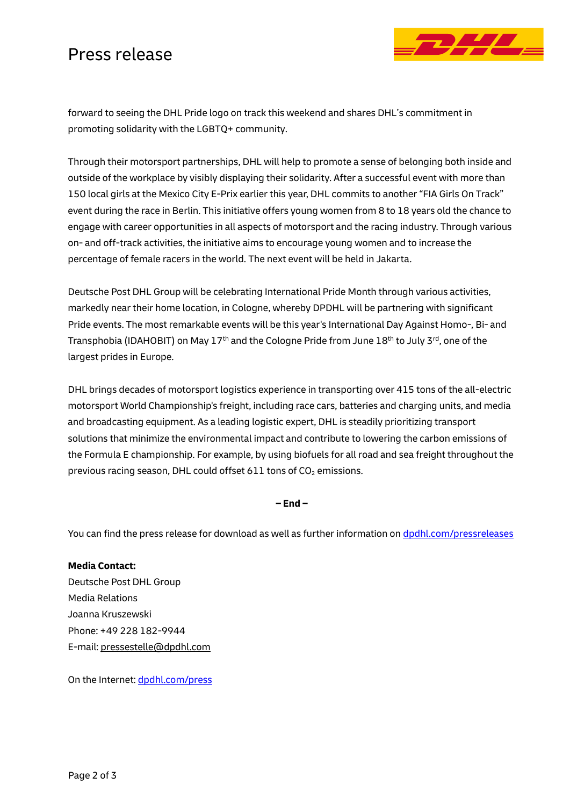## Press release



forward to seeing the DHL Pride logo on track this weekend and shares DHL's commitment in promoting solidarity with the LGBTQ+ community.

Through their motorsport partnerships, DHL will help to promote a sense of belonging both inside and outside of the workplace by visibly displaying their solidarity. After a successful event with more than 150 local girls at the Mexico City E-Prix earlier this year, DHL commits to another "FIA Girls On Track" event during the race in Berlin. This initiative offers young women from 8 to 18 years old the chance to engage with career opportunities in all aspects of motorsport and the racing industry. Through various on- and off-track activities, the initiative aims to encourage young women and to increase the percentage of female racers in the world. The next event will be held in Jakarta.

Deutsche Post DHL Group will be celebrating International Pride Month through various activities, markedly near their home location, in Cologne, whereby DPDHL will be partnering with significant Pride events. The most remarkable events will be this year's International Day Against Homo-, Bi- and Transphobia (IDAHOBIT) on May 17<sup>th</sup> and the Cologne Pride from June 18<sup>th</sup> to July 3<sup>rd</sup>, one of the largest prides in Europe.

DHL brings decades of motorsport logistics experience in transporting over 415 tons of the all-electric motorsport World Championship's freight, including race cars, batteries and charging units, and media and broadcasting equipment. As a leading logistic expert, DHL is steadily prioritizing transport solutions that minimize the environmental impact and contribute to lowering the carbon emissions of the Formula E championship. For example, by using biofuels for all road and sea freight throughout the previous racing season, DHL could offset 611 tons of  $CO<sub>2</sub>$  emissions.

**– End –**

You can find the press release for download as well as further information on [dpdhl.com/pressreleases](https://www.dpdhl.com/pressreleases)

**Media Contact:** Deutsche Post DHL Group Media Relations Joanna Kruszewski Phone: +49 228 182-9944 E-mail: [pressestelle@dpdhl.com](mailto:pressestelle@dpdhl.com)

On the Internet: [dpdhl.com/press](https://www.dpdhl.com/press)